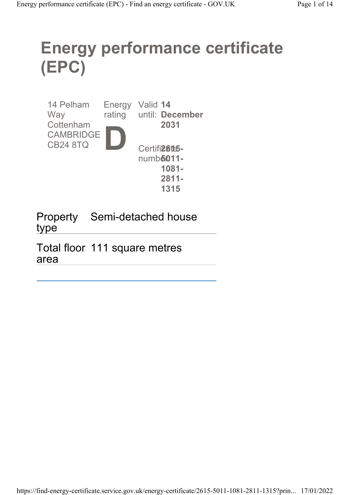# Energy performance certificate (EPC)

| 14 Pelham<br>Way | Energy | Valid 14 | rating until: December |
|------------------|--------|----------|------------------------|
| Cottenham        |        |          | 2031                   |
| <b>CAMBRIDGE</b> |        |          |                        |
| <b>CB24 8TQ</b>  |        |          | Certifi <b>26t5-</b>   |
|                  |        |          | numb <b>5011-</b>      |
|                  |        |          | 1081-                  |
|                  |        |          | $2811 -$               |
|                  |        |          | 1315                   |

Property Semi-detached house type

Total floor 111 square metres area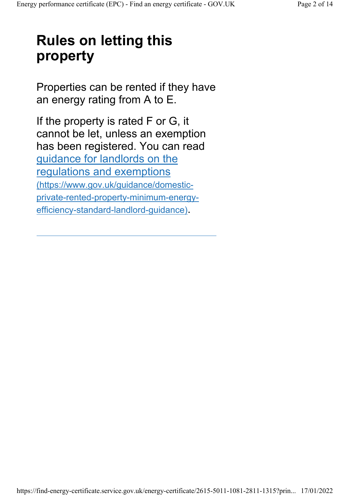# Rules on letting this property

Properties can be rented if they have an energy rating from A to E.

If the property is rated F or G, it cannot be let, unless an exemption has been registered. You can read guidance for landlords on the regulations and exemptions (https://www.gov.uk/guidance/domesticprivate-rented-property-minimum-energyefficiency-standard-landlord-guidance).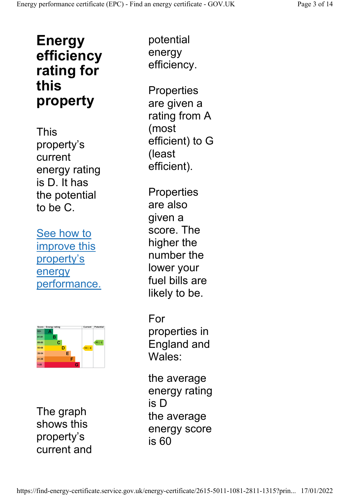### Energy efficiency rating for this property

This property's current energy rating is D. It has the potential to be C.

See how to improve this property's energy performance.



The graph shows this property's current and

potential energy efficiency.

**Properties** are given a rating from A (most efficient) to G (least efficient).

**Properties** are also given a score. The higher the number the lower your fuel bills are likely to be.

For properties in England and Wales:

the average energy rating is D the average energy score is 60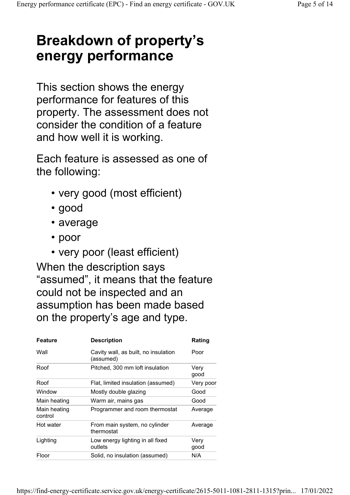# Breakdown of property's energy performance

This section shows the energy performance for features of this property. The assessment does not consider the condition of a feature and how well it is working.

Each feature is assessed as one of the following:

- very good (most efficient)
- good
- average
- poor
- very poor (least efficient)

When the description says "assumed", it means that the feature could not be inspected and an assumption has been made based on the property's age and type.

|                                                                         | Rating    |
|-------------------------------------------------------------------------|-----------|
| Wall<br>Cavity wall, as built, no insulation<br>Poor<br>(assumed)       |           |
| Roof<br>Pitched, 300 mm loft insulation<br>Very<br>good                 |           |
| Roof<br>Flat, limited insulation (assumed)                              | Very poor |
| Window<br>Mostly double glazing<br>Good                                 |           |
| Warm air, mains gas<br>Good<br>Main heating                             |           |
| Programmer and room thermostat<br>Main heating<br>control               | Average   |
| Hot water<br>From main system, no cylinder<br>thermostat                | Average   |
| Lighting<br>Low energy lighting in all fixed<br>Very<br>outlets<br>good |           |
| N/A<br>Floor<br>Solid, no insulation (assumed)                          |           |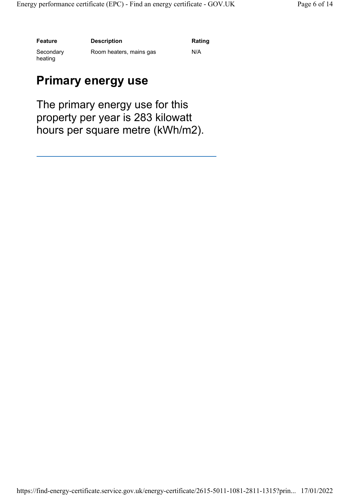Feature Description Description Rating

Secondary heating

Room heaters, mains gas **N/A** 

#### Primary energy use

The primary energy use for this property per year is 283 kilowatt hours per square metre (kWh/m2).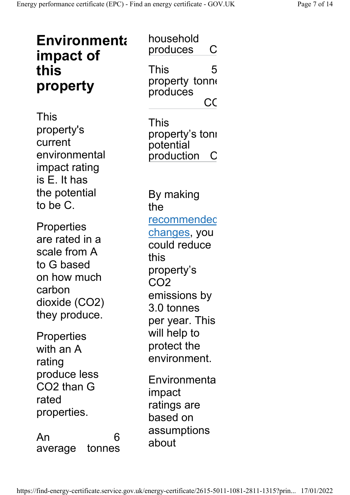| <b>Environmenta</b><br>impact of<br>this<br>property                                                                  | household<br>produces<br>С<br>This<br>5<br>property tonne<br>produces<br>C <sub>C</sub>                                                            |  |  |
|-----------------------------------------------------------------------------------------------------------------------|----------------------------------------------------------------------------------------------------------------------------------------------------|--|--|
| This<br>property's<br>current<br>environmental<br>impact rating<br>is E. It has                                       | This<br>property's toni<br>potential<br>production<br>$\mathsf{C}$                                                                                 |  |  |
| the potential<br>to be C.                                                                                             | By making<br>the                                                                                                                                   |  |  |
| Properties<br>are rated in a<br>scale from A<br>to G based<br>on how much<br>carbon<br>dioxide (CO2)<br>they produce. | <u>recommendec</u><br><u>changes,</u> you<br>could reduce<br>this<br>property's<br>CO <sub>2</sub><br>emissions by<br>3.0 tonnes<br>per year. This |  |  |
| Properties<br>with an A<br>rating                                                                                     | will help to<br>protect the<br>environment.                                                                                                        |  |  |
| produce less<br>CO2 than G<br>rated<br>properties.                                                                    | Environmenta<br>impact<br>ratings are<br>based on                                                                                                  |  |  |
| An<br>6<br>tonnes<br>average                                                                                          | assumptions<br>about                                                                                                                               |  |  |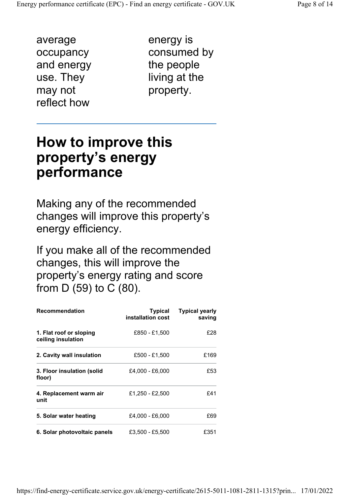average occupancy and energy use. They may not reflect how

energy is consumed by the people living at the property.

### How to improve this property's energy performance

Making any of the recommended changes will improve this property's energy efficiency.

If you make all of the recommended changes, this will improve the property's energy rating and score from D (59) to C (80).

| <b>Recommendation</b>                         | Typical<br>installation cost | <b>Typical yearly</b><br>saving |
|-----------------------------------------------|------------------------------|---------------------------------|
| 1. Flat roof or sloping<br>ceiling insulation | £850 - £1,500                | £28                             |
| 2. Cavity wall insulation                     | £500 - £1.500                | £169                            |
| 3. Floor insulation (solid<br>floor)          | £4,000 - £6,000              | £53                             |
| 4. Replacement warm air<br>unit               | £1,250 - £2,500              | £41                             |
| 5. Solar water heating                        | £4,000 - £6,000              | £69                             |
| 6. Solar photovoltaic panels                  | £3,500 - £5,500              | £351                            |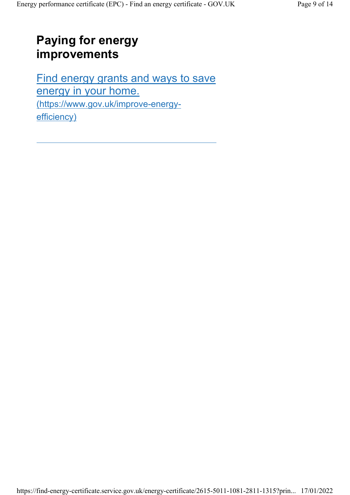#### Paying for energy improvements

Find energy grants and ways to save energy in your home. (https://www.gov.uk/improve-energyefficiency)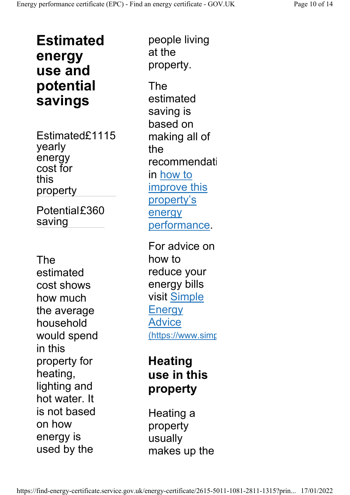Estimated energy use and potential savings

Estimated£1115 yearly energy cost for this property

Potential£360 saving

The estimated cost shows how much the average household would spend in this property for heating, lighting and hot water. It is not based on how energy is used by the

people living at the property.

The estimated saving is based on making all of the recommendati in how to improve this property's energy performance.

For advice on how to reduce your energy bills visit Simple **Energy** Advice (https://www.simp

#### **Heating** use in this property

Heating a property usually makes up the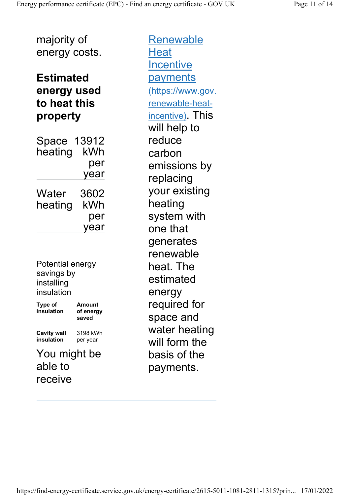majority of energy costs.

#### Estimated energy used to heat this property

Space 13912 heating kWh per year Water heating 3602 kWh per year

Potential energy savings by installing insulation

Type of insulation Amount of energy saved Cavity wall insulation 3198 kWh per year

You might be able to receive

Renewable **Heat Incentive** payments (https://www.gov. renewable-heatincentive). This will help to reduce carbon emissions by replacing your existing heating system with one that generates renewable heat. The estimated energy required for space and water heating will form the basis of the payments.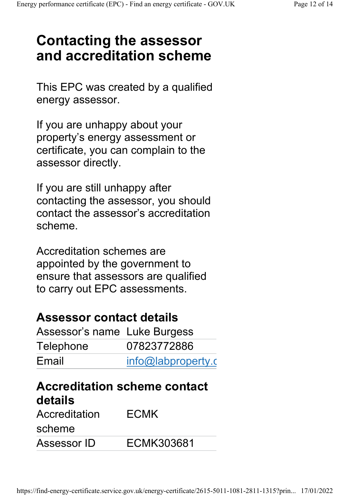# Contacting the assessor and accreditation scheme

This EPC was created by a qualified energy assessor.

If you are unhappy about your property's energy assessment or certificate, you can complain to the assessor directly.

If you are still unhappy after contacting the assessor, you should contact the assessor's accreditation scheme.

Accreditation schemes are appointed by the government to ensure that assessors are qualified to carry out EPC assessments.

#### Assessor contact details

| Assessor's name Luke Burgess |                    |
|------------------------------|--------------------|
| Telephone                    | 07823772886        |
| Email                        | info@labproperty.c |

### Accreditation scheme contact details

| Accreditation | <b>ECMK</b> |  |  |
|---------------|-------------|--|--|
| scheme        |             |  |  |
| Assessor ID   | ECMK303681  |  |  |